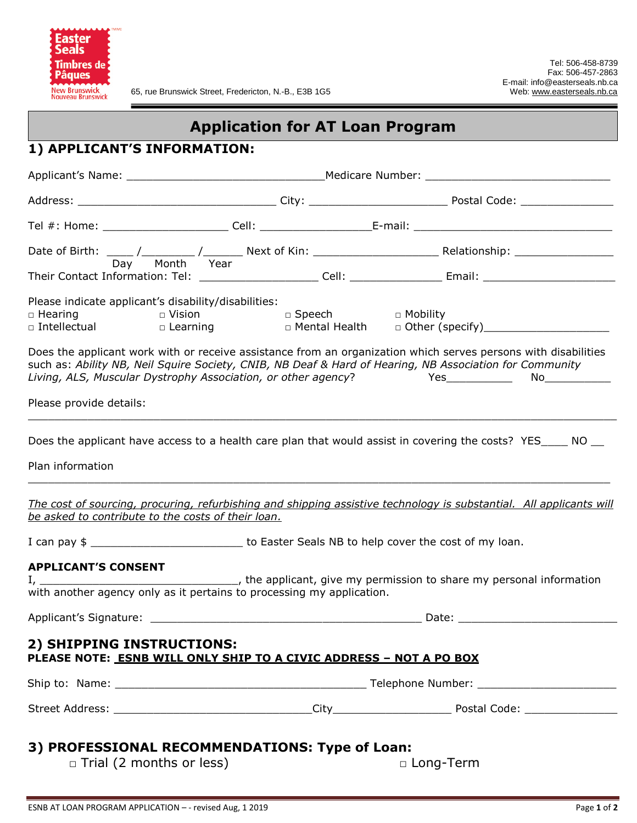

65, rue Brunswick Street, Fredericton, N.-B., E3B 1G5

# **Application for AT Loan Program**

## **1) APPLICANT'S INFORMATION:**

|                                                                                                     | Day Month Year                                                                                      |                          |                                                                                                                                                                                                                                                                                                                                  |  |
|-----------------------------------------------------------------------------------------------------|-----------------------------------------------------------------------------------------------------|--------------------------|----------------------------------------------------------------------------------------------------------------------------------------------------------------------------------------------------------------------------------------------------------------------------------------------------------------------------------|--|
| Please indicate applicant's disability/disabilities:<br>$\Box$ Hearing                              | $\Box$ Vision                                                                                       | □ Speech      □ Mobility | □ Intellectual      □ Learning        □ Mental Health   □ Other (specify) _________________________<br>Does the applicant work with or receive assistance from an organization which serves persons with disabilities<br>such as: Ability NB, Neil Squire Society, CNIB, NB Deaf & Hard of Hearing, NB Association for Community |  |
| Please provide details:                                                                             |                                                                                                     |                          | Living, ALS, Muscular Dystrophy Association, or other agency? The Mo Controller Mo No Controller Mo                                                                                                                                                                                                                              |  |
| Plan information                                                                                    |                                                                                                     |                          | The cost of sourcing, procuring, refurbishing and shipping assistive technology is substantial. All applicants will                                                                                                                                                                                                              |  |
| be asked to contribute to the costs of their loan.                                                  |                                                                                                     |                          |                                                                                                                                                                                                                                                                                                                                  |  |
|                                                                                                     | I can pay \$ ________________________________ to Easter Seals NB to help cover the cost of my loan. |                          |                                                                                                                                                                                                                                                                                                                                  |  |
| <b>APPLICANT'S CONSENT</b><br>with another agency only as it pertains to processing my application. |                                                                                                     |                          | the applicant, give my permission to share my personal information                                                                                                                                                                                                                                                               |  |
|                                                                                                     |                                                                                                     |                          |                                                                                                                                                                                                                                                                                                                                  |  |
| 2) SHIPPING INSTRUCTIONS:<br>PLEASE NOTE: ESNB WILL ONLY SHIP TO A CIVIC ADDRESS - NOT A PO BOX     |                                                                                                     |                          |                                                                                                                                                                                                                                                                                                                                  |  |
|                                                                                                     |                                                                                                     |                          |                                                                                                                                                                                                                                                                                                                                  |  |
|                                                                                                     |                                                                                                     |                          |                                                                                                                                                                                                                                                                                                                                  |  |
| 3) PROFESSIONAL RECOMMENDATIONS: Type of Loan:<br>$\Box$ Trial (2 months or less)                   |                                                                                                     |                          | □ Long-Term                                                                                                                                                                                                                                                                                                                      |  |